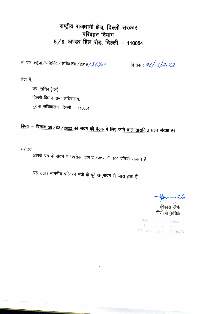राष्ट्रीय राजधानी क्षेत्र, दिल्ली सरकार परिवहन विभाग  $5/9$ , अण्डर हिल रोड़, दिल्ली - 110054

सं. एफ 1904) / परि०वि० / सचि० शा० / 2019 / 2620 Y

दिनांक : *26/03/2022* 

सेवा में

उप–सचिव (प्रश्न) दिल्ली विधान सभा सचिवालय, पुराना सचिवालय, दिल्ली – 110054

बिषय :- दिनांक 29/03/2022 को सदन की बैठक में लिए जाने वाले तांराकित प्रश्न संख्या 51

महोदय,

आपके पत्र के संदर्भ में उपरोक्त प्रश्न के उत्तर की 100 प्रतियॉ संलग्न है।

यह उत्तर माननीय परिवहन मंत्री के पूर्व अनुमोदन से जारी हुआ है।

(विकास जैन) पीसीओ (सचि0)

Pollution Central Officer Transport Department 5/9, Under Hill Road, Delhi-54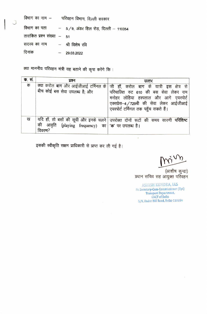| विभाग का नाम —                 | परिवहन विभाग, दिल्ली सरकार |                                                      |  |  |
|--------------------------------|----------------------------|------------------------------------------------------|--|--|
|                                |                            | विभाग का पता $-$ 5/9, अंडर हिल रोड़, दिल्ली – 110054 |  |  |
| तारांकित प्रश्न संख्या – 51    |                            |                                                      |  |  |
| सदस्य का नाम का श्री विशेष रवि |                            |                                                      |  |  |
| दिनांक                         |                            | $-29.03.2022$                                        |  |  |

क्या माननीय परिवहन मंत्री यह बताने की कृपा करेंगे कि :

| <b>क</b> . सं. | प्रश्न                                                              | उत्तर                                                                                                                                                                                                    |
|----------------|---------------------------------------------------------------------|----------------------------------------------------------------------------------------------------------------------------------------------------------------------------------------------------------|
| क              | क्या करोल बाग और आईजीआई टर्मिनल के<br>बीच कोई बस सेवा उपलब्ध है; और | जी हाँ, करोल बाग के यात्री इस क्षेत्र से<br>परिचालित रुट 610 की बस सेवा लेकर राम<br>मनोहर लोहिया हस्पताल और आगे एयरपोर्ट<br>एक्सप्रेस-4/729बी की सेवा लेकर आईजीआई<br>एयरपोर्ट टर्मिनल तक पहुॅच सकते हैं। |
| ख              | की आवृति<br>(playing frequency) का क' पर उपलब्ध है।<br>विवरण?       | यदि हाँ, तो बसों की सूची और इनके चलने उपरोक्त दोनों रूटों की समय सारणी परिशिष्ट                                                                                                                          |

इसकी स्वीकृति सक्षम प्राधिकारी से प्राप्त कर ली गई है।

(आशीष कुन्द्रा)<br>प्रधान सचिव सह आयुक्त परिवहन

ASHISH KUNDRA, IAS Pr. Secretary-Cum-Commissioner (Tpt) **Transport Department, GNCT** of Delhi 5/9, Under Hill Road, Delhi-110054